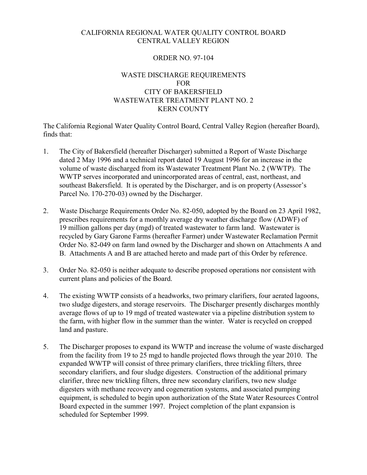# CALIFORNIA REGIONAL WATER QUALITY CONTROL BOARD CENTRAL VALLEY REGION

#### ORDER NO. 97-104

# WASTE DISCHARGE REQUIREMENTS FOR CITY OF BAKERSFIELD WASTEWATER TREATMENT PLANT NO. 2 KERN COUNTY

The California Regional Water Quality Control Board, Central Valley Region (hereafter Board), finds that:

- 1. The City of Bakersfield (hereafter Discharger) submitted a Report of Waste Discharge dated 2 May 1996 and a technical report dated 19 August 1996 for an increase in the volume of waste discharged from its Wastewater Treatment Plant No. 2 (WWTP). The WWTP serves incorporated and unincorporated areas of central, east, northeast, and southeast Bakersfield. It is operated by the Discharger, and is on property (Assessor's Parcel No. 170-270-03) owned by the Discharger.
- 2. Waste Discharge Requirements Order No. 82-050, adopted by the Board on 23 April 1982, prescribes requirements for a monthly average dry weather discharge flow (ADWF) of 19 million gallons per day (mgd) of treated wastewater to farm land. Wastewater is recycled by Gary Garone Farms (hereafter Farmer) under Wastewater Reclamation Permit Order No. 82-049 on farm land owned by the Discharger and shown on Attachments A and B. Attachments A and B are attached hereto and made part of this Order by reference.
- 3. Order No. 82-050 is neither adequate to describe proposed operations nor consistent with current plans and policies of the Board.
- 4. The existing WWTP consists of a headworks, two primary clarifiers, four aerated lagoons, two sludge digesters, and storage reservoirs. The Discharger presently discharges monthly average flows of up to 19 mgd of treated wastewater via a pipeline distribution system to the farm, with higher flow in the summer than the winter. Water is recycled on cropped land and pasture.
- 5. The Discharger proposes to expand its WWTP and increase the volume of waste discharged from the facility from 19 to 25 mgd to handle projected flows through the year 2010. The expanded WWTP will consist of three primary clarifiers, three trickling filters, three secondary clarifiers, and four sludge digesters. Construction of the additional primary clarifier, three new trickling filters, three new secondary clarifiers, two new sludge digesters with methane recovery and cogeneration systems, and associated pumping equipment, is scheduled to begin upon authorization of the State Water Resources Control Board expected in the summer 1997. Project completion of the plant expansion is scheduled for September 1999.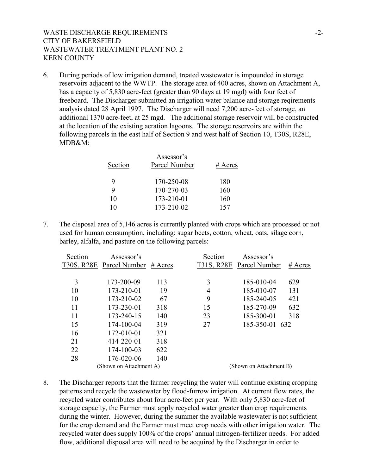6. During periods of low irrigation demand, treated wastewater is impounded in storage reservoirs adjacent to the WWTP. The storage area of 400 acres, shown on Attachment A, has a capacity of 5,830 acre-feet (greater than 90 days at 19 mgd) with four feet of freeboard. The Discharger submitted an irrigation water balance and storage reqirements analysis dated 28 April 1997. The Discharger will need 7,200 acre-feet of storage, an additional 1370 acre-feet, at 25 mgd. The additional storage reservoir will be constructed at the location of the existing aeration lagoons. The storage reservoirs are within the following parcels in the east half of Section 9 and west half of Section 10, T30S, R28E, MDB&M:

| Assessor's<br>Parcel Number | $#$ Acres |
|-----------------------------|-----------|
| 170-250-08                  | 180       |
| 170-270-03                  | 160       |
| 173-210-01                  | 160       |
| 173-210-02                  | 157       |
|                             |           |

7. The disposal area of 5,146 acres is currently planted with crops which are processed or not used for human consumption, including: sugar beets, cotton, wheat, oats, silage corn, barley, alfalfa, and pasture on the following parcels:

| Section | Assessor's               |           | Section | Assessor's               |           |
|---------|--------------------------|-----------|---------|--------------------------|-----------|
|         | T30S, R28E Parcel Number | $#$ Acres |         | T31S, R28E Parcel Number | $#$ Acres |
|         |                          |           |         |                          |           |
| 3       | 173-200-09               | 113       | 3       | 185-010-04               | 629       |
| 10      | 173-210-01               | 19        | 4       | 185-010-07               | 131       |
| 10      | 173-210-02               | 67        | 9       | 185-240-05               | 421       |
| 11      | 173-230-01               | 318       | 15      | 185-270-09               | 632       |
| 11      | 173-240-15               | 140       | 23      | 185-300-01               | 318       |
| 15      | 174-100-04               | 319       | 27      | 185-350-01 632           |           |
| 16      | 172-010-01               | 321       |         |                          |           |
| 21      | 414-220-01               | 318       |         |                          |           |
| 22      | 174-100-03               | 622       |         |                          |           |
| 28      | 176-020-06               | 140       |         |                          |           |
|         | (Shown on Attachment A)  |           |         | (Shown on Attachment B)  |           |

8. The Discharger reports that the farmer recycling the water will continue existing cropping patterns and recycle the wastewater by flood-furrow irrigation. At current flow rates, the recycled water contributes about four acre-feet per year. With only 5,830 acre-feet of storage capacity, the Farmer must apply recycled water greater than crop requirements during the winter. However, during the summer the available wastewater is not sufficient for the crop demand and the Farmer must meet crop needs with other irrigation water. The recycled water does supply 100% of the crops' annual nitrogen-fertilizer needs. For added flow, additional disposal area will need to be acquired by the Discharger in order to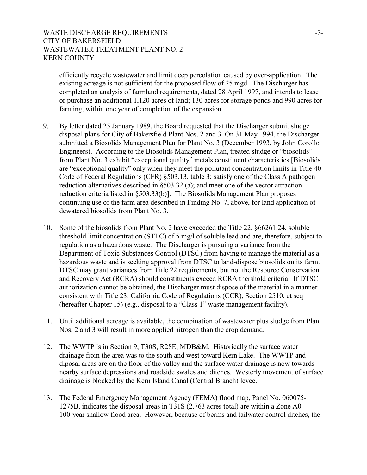efficiently recycle wastewater and limit deep percolation caused by over-application. The existing acreage is not sufficient for the proposed flow of 25 mgd. The Discharger has completed an analysis of farmland requirements, dated 28 April 1997, and intends to lease or purchase an additional 1,120 acres of land; 130 acres for storage ponds and 990 acres for farming, within one year of completion of the expansion.

- 9. By letter dated 25 January 1989, the Board requested that the Discharger submit sludge disposal plans for City of Bakersfield Plant Nos. 2 and 3. On 31 May 1994, the Discharger submitted a Biosolids Management Plan for Plant No. 3 (December 1993, by John Corollo Engineers). According to the Biosolids Management Plan, treated sludge or "biosolids" from Plant No. 3 exhibit "exceptional quality" metals constituent characteristics [Biosolids are "exceptional quality" only when they meet the pollutant concentration limits in Title 40 Code of Federal Regulations (CFR) §503.13, table 3; satisfy one of the Class A pathogen reduction alternatives described in §503.32 (a); and meet one of the vector attraction reduction criteria listed in §503.33(b)]. The Biosolids Management Plan proposes continuing use of the farm area described in Finding No. 7, above, for land application of dewatered biosolids from Plant No. 3.
- 10. Some of the biosolids from Plant No. 2 have exceeded the Title 22, §66261.24, soluble threshold limit concentration (STLC) of 5 mg/l of soluble lead and are, therefore, subject to regulation as a hazardous waste. The Discharger is pursuing a variance from the Department of Toxic Substances Control (DTSC) from having to manage the material as a hazardous waste and is seeking approval from DTSC to land-dispose biosolids on its farm. DTSC may grant variances from Title 22 requirements, but not the Resource Conservation and Recovery Act (RCRA) should constituents exceed RCRA thershold criteria. If DTSC authorization cannot be obtained, the Discharger must dispose of the material in a manner consistent with Title 23, California Code of Regulations (CCR), Section 2510, et seq (hereafter Chapter 15) (e.g., disposal to a "Class 1" waste management facility).
- 11. Until additional acreage is available, the combination of wastewater plus sludge from Plant Nos. 2 and 3 will result in more applied nitrogen than the crop demand.
- 12. The WWTP is in Section 9, T30S, R28E, MDB&M. Historically the surface water drainage from the area was to the south and west toward Kern Lake. The WWTP and diposal areas are on the floor of the valley and the surface water drainage is now towards nearby surface depressions and roadside swales and ditches. Westerly movement of surface drainage is blocked by the Kern Island Canal (Central Branch) levee.
- 13. The Federal Emergency Management Agency (FEMA) flood map, Panel No. 060075- 1275B, indicates the disposal areas in T31S (2,763 acres total) are within a Zone A0 100-year shallow flood area. However, because of berms and tailwater control ditches, the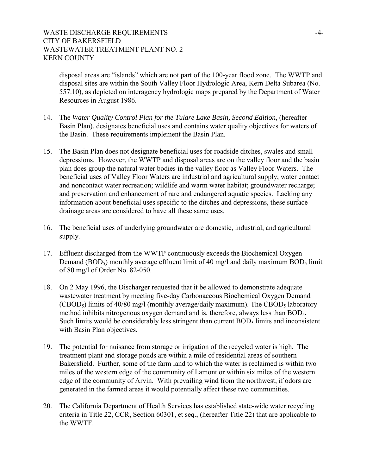disposal areas are "islands" which are not part of the 100-year flood zone. The WWTP and disposal sites are within the South Valley Floor Hydrologic Area, Kern Delta Subarea (No. 557.10), as depicted on interagency hydrologic maps prepared by the Department of Water Resources in August 1986.

- 14. The *Water Quality Control Plan for the Tulare Lake Basin, Second Edition*, (hereafter Basin Plan), designates beneficial uses and contains water quality objectives for waters of the Basin. These requirements implement the Basin Plan.
- 15. The Basin Plan does not designate beneficial uses for roadside ditches, swales and small depressions. However, the WWTP and disposal areas are on the valley floor and the basin plan does group the natural water bodies in the valley floor as Valley Floor Waters. The beneficial uses of Valley Floor Waters are industrial and agricultural supply; water contact and noncontact water recreation; wildlife and warm water habitat; groundwater recharge; and preservation and enhancement of rare and endangered aquatic species. Lacking any information about beneficial uses specific to the ditches and depressions, these surface drainage areas are considered to have all these same uses.
- 16. The beneficial uses of underlying groundwater are domestic, industrial, and agricultural supply.
- 17. Effluent discharged from the WWTP continuously exceeds the Biochemical Oxygen Demand (BOD<sub>5</sub>) monthly average effluent limit of 40 mg/l and daily maximum BOD<sub>5</sub> limit of 80 mg/l of Order No. 82-050.
- 18. On 2 May 1996, the Discharger requested that it be allowed to demonstrate adequate wastewater treatment by meeting five-day Carbonaceous Biochemical Oxygen Demand  $(CBOD<sub>5</sub>)$  limits of 40/80 mg/l (monthly average/daily maximum). The CBOD<sub>5</sub> laboratory method inhibits nitrogenous oxygen demand and is, therefore, always less than BOD<sub>5</sub>. Such limits would be considerably less stringent than current  $BOD<sub>5</sub>$  limits and inconsistent with Basin Plan objectives.
- 19. The potential for nuisance from storage or irrigation of the recycled water is high. The treatment plant and storage ponds are within a mile of residential areas of southern Bakersfield. Further, some of the farm land to which the water is reclaimed is within two miles of the western edge of the community of Lamont or within six miles of the western edge of the community of Arvin. With prevailing wind from the northwest, if odors are generated in the farmed areas it would potentially affect these two communities.
- 20. The California Department of Health Services has established state-wide water recycling criteria in Title 22, CCR, Section 60301, et seq., (hereafter Title 22) that are applicable to the WWTF.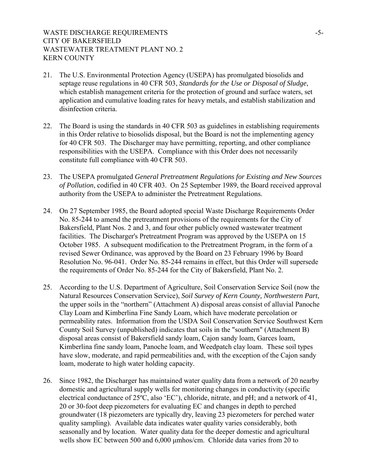- 21. The U.S. Environmental Protection Agency (USEPA) has promulgated biosolids and septage reuse regulations in 40 CFR 503, *Standards for the Use or Disposal of Sludge*, which establish management criteria for the protection of ground and surface waters, set application and cumulative loading rates for heavy metals, and establish stabilization and disinfection criteria.
- 22. The Board is using the standards in 40 CFR 503 as guidelines in establishing requirements in this Order relative to biosolids disposal, but the Board is not the implementing agency for 40 CFR 503. The Discharger may have permitting, reporting, and other compliance responsibilities with the USEPA. Compliance with this Order does not necessarily constitute full compliance with 40 CFR 503.
- 23. The USEPA promulgated *General Pretreatment Regulations for Existing and New Sources of Pollution*, codified in 40 CFR 403. On 25 September 1989, the Board received approval authority from the USEPA to administer the Pretreatment Regulations.
- 24. On 27 September 1985, the Board adopted special Waste Discharge Requirements Order No. 85-244 to amend the pretreatment provisions of the requirements for the City of Bakersfield, Plant Nos. 2 and 3, and four other publicly owned wastewater treatment facilities. The Discharger's Pretreatment Program was approved by the USEPA on 15 October 1985. A subsequent modification to the Pretreatment Program, in the form of a revised Sewer Ordinance, was approved by the Board on 23 February 1996 by Board Resolution No. 96-041. Order No. 85-244 remains in effect, but this Order will supersede the requirements of Order No. 85-244 for the City of Bakersfield, Plant No. 2.
- 25. According to the U.S. Department of Agriculture, Soil Conservation Service Soil (now the Natural Resources Conservation Service), *Soil Survey of Kern County, Northwestern Part*, the upper soils in the "northern" (Attachment A) disposal areas consist of alluvial Panoche Clay Loam and Kimberlina Fine Sandy Loam, which have moderate percolation or permeability rates. Information from the USDA Soil Conservation Service Southwest Kern County Soil Survey (unpublished) indicates that soils in the "southern" (Attachment B) disposal areas consist of Bakersfield sandy loam, Cajon sandy loam, Garces loam, Kimberlina fine sandy loam, Panoche loam, and Weedpatch clay loam. These soil types have slow, moderate, and rapid permeabilities and, with the exception of the Cajon sandy loam, moderate to high water holding capacity.
- 26. Since 1982, the Discharger has maintained water quality data from a network of 20 nearby domestic and agricultural supply wells for monitoring changes in conductivity (specific electrical conductance of 25ºC, also 'EC'), chloride, nitrate, and pH; and a network of 41, 20 or 30-foot deep piezometers for evaluating EC and changes in depth to perched groundwater (18 piezometers are typically dry, leaving 23 piezometers for perched water quality sampling). Available data indicates water quality varies considerably, both seasonally and by location. Water quality data for the deeper domestic and agricultural wells show EC between 500 and 6,000 μmhos/cm. Chloride data varies from 20 to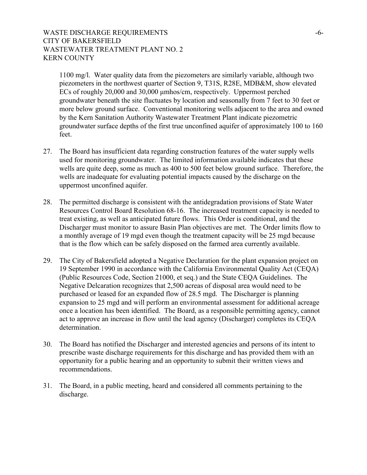# WASTE DISCHARGE REQUIREMENTS -6-CITY OF BAKERSFIELD WASTEWATER TREATMENT PLANT NO. 2 KERN COUNTY

1100 mg/l. Water quality data from the piezometers are similarly variable, although two piezometers in the northwest quarter of Section 9, T31S, R28E, MDB&M, show elevated ECs of roughly 20,000 and 30,000 μmhos/cm, respectively. Uppermost perched groundwater beneath the site fluctuates by location and seasonally from 7 feet to 30 feet or more below ground surface. Conventional monitoring wells adjacent to the area and owned by the Kern Sanitation Authority Wastewater Treatment Plant indicate piezometric groundwater surface depths of the first true unconfined aquifer of approximately 100 to 160 feet.

- 27. The Board has insufficient data regarding construction features of the water supply wells used for monitoring groundwater. The limited information available indicates that these wells are quite deep, some as much as 400 to 500 feet below ground surface. Therefore, the wells are inadequate for evaluating potential impacts caused by the discharge on the uppermost unconfined aquifer.
- 28. The permitted discharge is consistent with the antidegradation provisions of State Water Resources Control Board Resolution 68-16. The increased treatment capacity is needed to treat existing, as well as anticipated future flows. This Order is conditional, and the Discharger must monitor to assure Basin Plan objectives are met. The Order limits flow to a monthly average of 19 mgd even though the treatment capacity will be 25 mgd because that is the flow which can be safely disposed on the farmed area currently available.
- 29. The City of Bakersfield adopted a Negative Declaration for the plant expansion project on 19 September 1990 in accordance with the California Environmental Quality Act (CEQA) (Public Resources Code, Section 21000, et seq.) and the State CEQA Guidelines. The Negative Delcaration recognizes that 2,500 acreas of disposal area would need to be purchased or leased for an expanded flow of 28.5 mgd. The Discharger is planning expansion to 25 mgd and will perform an environmental assessment for additional acreage once a location has been identified. The Board, as a responsible permitting agency, cannot act to approve an increase in flow until the lead agency (Discharger) completes its CEQA determination.
- 30. The Board has notified the Discharger and interested agencies and persons of its intent to prescribe waste discharge requirements for this discharge and has provided them with an opportunity for a public hearing and an opportunity to submit their written views and recommendations.
- 31. The Board, in a public meeting, heard and considered all comments pertaining to the discharge.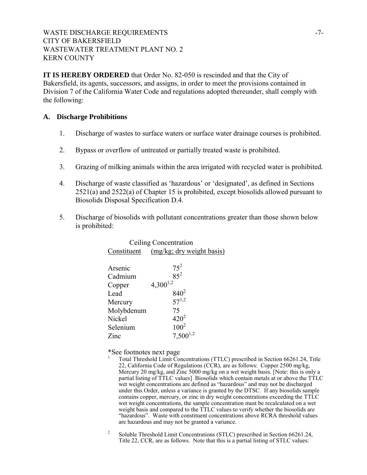**IT IS HEREBY ORDERED** that Order No. 82-050 is rescinded and that the City of Bakersfield, its agents, successors, and assigns, in order to meet the provisions contained in Division 7 of the California Water Code and regulations adopted thereunder, shall comply with the following:

#### **A. Discharge Prohibitions**

- 1. Discharge of wastes to surface waters or surface water drainage courses is prohibited.
- 2. Bypass or overflow of untreated or partially treated waste is prohibited.
- 3. Grazing of milking animals within the area irrigated with recycled water is prohibited.
- 4. Discharge of waste classified as 'hazardous' or 'designated', as defined in Sections 2521(a) and 2522(a) of Chapter 15 is prohibited, except biosolids allowed pursuant to Biosolids Disposal Specification D.4.
- 5. Discharge of biosolids with pollutant concentrations greater than those shown below is prohibited:

|             | Ceiling Concentration     |
|-------------|---------------------------|
| Constituent | (mg/kg; dry weight basis) |
|             |                           |
| Arsenic     | $\frac{75^2}{85^2}$       |
| Cadmium     |                           |
| Copper      | $4,300^{1,2}$             |
| Lead        | $840^2$                   |
| Mercury     | $57^{1,2}$                |
| Molybdenum  | 75                        |
| Nickel      | $420^2$                   |
| Selenium    | $100^2$                   |
| Zinc        | $7,500^{1,2}$             |

\*See footnotes next page 1

- Total Threshold Limit Concentrations (TTLC) prescribed in Section 66261.24, Title 22, California Code of Regulations (CCR), are as follows: Copper 2500 mg/kg, Mercury 20 mg/kg, and Zinc 5000 mg/kg on a wet weight basis. [Note: this is only a partial listing of TTLC values] Biosolids which contain metals at or above the TTLC wet weight concentrations are defined as "hazardous" and may not be discharged under this Order, unless a variance is granted by the DTSC. If any biosolids sample contains copper, mercury, or zinc in dry weight concentrations exceeding the TTLC wet weight concentrations, the sample concentration must be recalculated on a wet weight basis and compared to the TTLC values to verify whether the biosolids are "hazardous". Waste with constituent concentrations above RCRA threshold values are hazardous and may not be granted a variance.
- <sup>2</sup> Soluble Threshold Limit Concentrations (STLC) prescribed in Section 66261.24, Title 22, CCR, are as follows. Note that this is a partial listing of STLC values: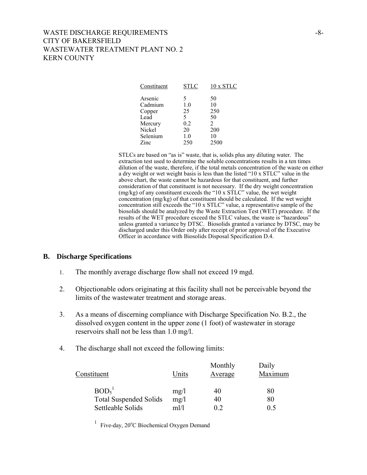# WASTE DISCHARGE REQUIREMENTS -8-CITY OF BAKERSFIELD WASTEWATER TREATMENT PLANT NO. 2 KERN COUNTY

| Constituent | <b>STLC</b> | $10 \times$ STLC |
|-------------|-------------|------------------|
| Arsenic     | 5           | 50               |
| Cadmium     | 1.0         | 10               |
| Copper      | 25          | 250              |
| Lead        | 5           | 50               |
| Mercury     | 0.2         | $\mathfrak{D}$   |
| Nickel      | 20          | 200              |
| Selenium    | 1.0         | 10               |
| Zinc        | 250         | 2500             |

STLCs are based on "as is" waste, that is, solids plus any diluting water. The extraction test used to determine the soluble concentrations results in a ten times dilution of the waste, therefore, if the total metals concentration of the waste on either a dry weight or wet weight basis is less than the listed "10 x STLC" value in the above chart, the waste cannot be hazardous for that constituent, and further consideration of that constituent is not necessary. If the dry weight concentration (mg/kg) of any constituent exceeds the " $10 \times \text{STLC}$ " value, the wet weight concentration (mg/kg) of that constituent should be calculated. If the wet weight concentration still exceeds the "10 x STLC" value, a representative sample of the biosolids should be analyzed by the Waste Extraction Test (WET) procedure. If the results of the WET procedure exceed the STLC values, the waste is "hazardous" unless granted a variance by DTSC. Biosolids granted a variance by DTSC, may be discharged under this Order only after receipt of prior approval of the Executive Officer in accordance with Biosolids Disposal Specification D.4.

#### **B. Discharge Specifications**

- 1. The monthly average discharge flow shall not exceed 19 mgd.
- 2. Objectionable odors originating at this facility shall not be perceivable beyond the limits of the wastewater treatment and storage areas.
- 3. As a means of discerning compliance with Discharge Specification No. B.2., the dissolved oxygen content in the upper zone (1 foot) of wastewater in storage reservoirs shall not be less than 1.0 mg/l.
- 4. The discharge shall not exceed the following limits:

| Constituent                   | Units | Monthly<br>Average | Daily<br>Maximum |
|-------------------------------|-------|--------------------|------------------|
| BOD <sub>5</sub>              | mg/l  | 40                 | 80               |
| <b>Total Suspended Solids</b> | mg/1  | 40                 | 80               |
| Settleable Solids             | m!/l  | 02                 | 0 <sub>5</sub>   |

<sup>1</sup> Five-day, 20°C Biochemical Oxygen Demand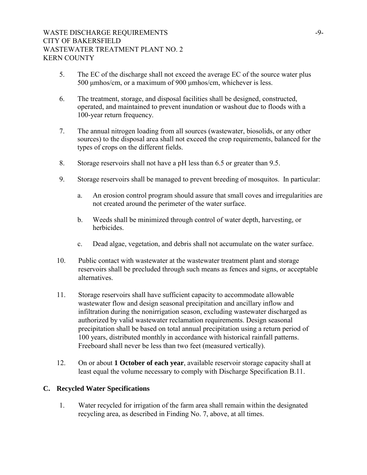- 5. The EC of the discharge shall not exceed the average EC of the source water plus 500 μmhos/cm, or a maximum of 900 μmhos/cm, whichever is less.
- 6. The treatment, storage, and disposal facilities shall be designed, constructed, operated, and maintained to prevent inundation or washout due to floods with a 100-year return frequency.
- 7. The annual nitrogen loading from all sources (wastewater, biosolids, or any other sources) to the disposal area shall not exceed the crop requirements, balanced for the types of crops on the different fields.
- 8. Storage reservoirs shall not have a pH less than 6.5 or greater than 9.5.
- 9. Storage reservoirs shall be managed to prevent breeding of mosquitos. In particular:
	- a. An erosion control program should assure that small coves and irregularities are not created around the perimeter of the water surface.
	- b. Weeds shall be minimized through control of water depth, harvesting, or herbicides.
	- c. Dead algae, vegetation, and debris shall not accumulate on the water surface.
- 10. Public contact with wastewater at the wastewater treatment plant and storage reservoirs shall be precluded through such means as fences and signs, or acceptable alternatives.
- 11. Storage reservoirs shall have sufficient capacity to accommodate allowable wastewater flow and design seasonal precipitation and ancillary inflow and infiltration during the nonirrigation season, excluding wastewater discharged as authorized by valid wastewater reclamation requirements. Design seasonal precipitation shall be based on total annual precipitation using a return period of 100 years, distributed monthly in accordance with historical rainfall patterns. Freeboard shall never be less than two feet (measured vertically).
- 12. On or about **1 October of each year**, available reservoir storage capacity shall at least equal the volume necessary to comply with Discharge Specification B.11.

# **C. Recycled Water Specifications**

 1. Water recycled for irrigation of the farm area shall remain within the designated recycling area, as described in Finding No. 7, above, at all times.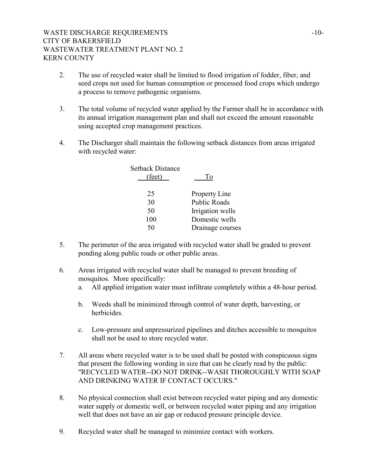- 2. The use of recycled water shall be limited to flood irrigation of fodder, fiber, and seed crops not used for human consumption or processed food crops which undergo a process to remove pathogenic organisms.
- 3. The total volume of recycled water applied by the Farmer shall be in accordance with its annual irrigation management plan and shall not exceed the amount reasonable using accepted crop management practices.
- 4. The Discharger shall maintain the following setback distances from areas irrigated with recycled water:

| <b>Setback Distance</b><br>(feet) | To                  |
|-----------------------------------|---------------------|
| 25                                | Property Line       |
| 30                                | <b>Public Roads</b> |
| 50                                | Irrigation wells    |
| 100                               | Domestic wells      |
| 50                                | Drainage courses    |

- 5. The perimeter of the area irrigated with recycled water shall be graded to prevent ponding along public roads or other public areas.
- 6. Areas irrigated with recycled water shall be managed to prevent breeding of mosquitos. More specifically:
	- a. All applied irrigation water must infiltrate completely within a 48-hour period.
	- b. Weeds shall be minimized through control of water depth, harvesting, or herbicides.
	- c. Low-pressure and unpressurized pipelines and ditches accessible to mosquitos shall not be used to store recycled water.
- 7. All areas where recycled water is to be used shall be posted with conspicuous signs that present the following wording in size that can be clearly read by the public: "RECYCLED WATER--DO NOT DRINK--WASH THOROUGHLY WITH SOAP AND DRINKING WATER IF CONTACT OCCURS."
- 8. No physical connection shall exist between recycled water piping and any domestic water supply or domestic well, or between recycled water piping and any irrigation well that does not have an air gap or reduced pressure principle device.
- 9. Recycled water shall be managed to minimize contact with workers.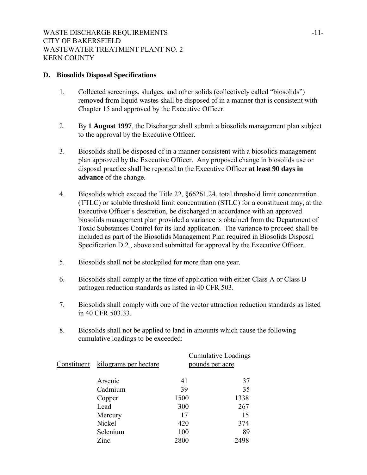#### **D. Biosolids Disposal Specifications**

- 1. Collected screenings, sludges, and other solids (collectively called "biosolids") removed from liquid wastes shall be disposed of in a manner that is consistent with Chapter 15 and approved by the Executive Officer.
- 2. By **1 August 1997**, the Discharger shall submit a biosolids management plan subject to the approval by the Executive Officer.
- 3. Biosolids shall be disposed of in a manner consistent with a biosolids management plan approved by the Executive Officer. Any proposed change in biosolids use or disposal practice shall be reported to the Executive Officer **at least 90 days in advance** of the change.
- 4. Biosolids which exceed the Title 22, §66261.24, total threshold limit concentration (TTLC) or soluble threshold limit concentration (STLC) for a constituent may, at the Executive Officer's descretion, be discharged in accordance with an approved biosolids management plan provided a variance is obtained from the Department of Toxic Substances Control for its land application. The variance to proceed shall be included as part of the Biosolids Management Plan required in Biosolids Disposal Specification D.2., above and submitted for approval by the Executive Officer.
- 5. Biosolids shall not be stockpiled for more than one year.
- 6. Biosolids shall comply at the time of application with either Class A or Class B pathogen reduction standards as listed in 40 CFR 503.
- 7. Biosolids shall comply with one of the vector attraction reduction standards as listed in 40 CFR 503.33.
- 8. Biosolids shall not be applied to land in amounts which cause the following cumulative loadings to be exceeded:

| Constituent | kilograms per hectare |      | <b>Cumulative Loadings</b><br>pounds per acre |
|-------------|-----------------------|------|-----------------------------------------------|
|             | Arsenic               | 41   | 37                                            |
|             | Cadmium               | 39   | 35                                            |
|             | Copper                | 1500 | 1338                                          |
|             | Lead                  | 300  | 267                                           |
|             | Mercury               | 17   | 15                                            |
|             | Nickel                | 420  | 374                                           |
|             | Selenium              | 100  | 89                                            |
|             | Zinc                  | 2800 | 2498                                          |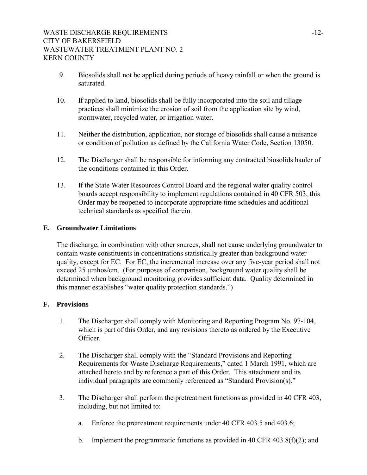- 9. Biosolids shall not be applied during periods of heavy rainfall or when the ground is saturated.
- 10. If applied to land, biosolids shall be fully incorporated into the soil and tillage practices shall minimize the erosion of soil from the application site by wind, stormwater, recycled water, or irrigation water.
- 11. Neither the distribution, application, nor storage of biosolids shall cause a nuisance or condition of pollution as defined by the California Water Code, Section 13050.
- 12. The Discharger shall be responsible for informing any contracted biosolids hauler of the conditions contained in this Order.
- 13. If the State Water Resources Control Board and the regional water quality control boards accept responsibility to implement regulations contained in 40 CFR 503, this Order may be reopened to incorporate appropriate time schedules and additional technical standards as specified therein.

# **E. Groundwater Limitations**

The discharge, in combination with other sources, shall not cause underlying groundwater to contain waste constituents in concentrations statistically greater than background water quality, except for EC. For EC, the incremental increase over any five-year period shall not exceed 25 μmhos/cm. (For purposes of comparison, background water quality shall be determined when background monitoring provides sufficient data. Quality determined in this manner establishes "water quality protection standards.")

# **F. Provisions**

- 1. The Discharger shall comply with Monitoring and Reporting Program No. 97-104, which is part of this Order, and any revisions thereto as ordered by the Executive Officer.
- 2. The Discharger shall comply with the "Standard Provisions and Reporting Requirements for Waste Discharge Requirements," dated 1 March 1991, which are attached hereto and by re ference a part of this Order. This attachment and its individual paragraphs are commonly referenced as "Standard Provision(s)."
- 3. The Discharger shall perform the pretreatment functions as provided in 40 CFR 403, including, but not limited to:
	- a. Enforce the pretreatment requirements under 40 CFR 403.5 and 403.6;
	- b. Implement the programmatic functions as provided in 40 CFR 403.8(f)(2); and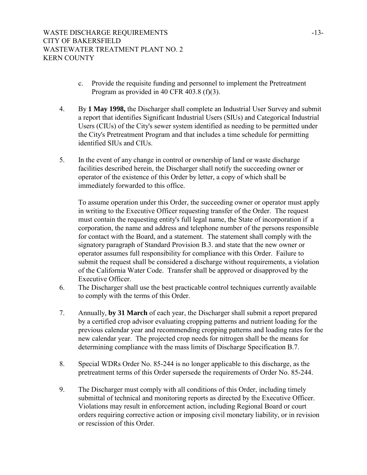- c. Provide the requisite funding and personnel to implement the Pretreatment Program as provided in 40 CFR 403.8 (f)(3).
- 4. By **1 May 1998,** the Discharger shall complete an Industrial User Survey and submit a report that identifies Significant Industrial Users (SIUs) and Categorical Industrial Users (CIUs) of the City's sewer system identified as needing to be permitted under the City's Pretreatment Program and that includes a time schedule for permitting identified SIUs and CIUs.
- 5. In the event of any change in control or ownership of land or waste discharge facilities described herein, the Discharger shall notify the succeeding owner or operator of the existence of this Order by letter, a copy of which shall be immediately forwarded to this office.

To assume operation under this Order, the succeeding owner or operator must apply in writing to the Executive Officer requesting transfer of the Order. The request must contain the requesting entity's full legal name, the State of incorporation if a corporation, the name and address and telephone number of the persons responsible for contact with the Board, and a statement. The statement shall comply with the signatory paragraph of Standard Provision B.3. and state that the new owner or operator assumes full responsibility for compliance with this Order. Failure to submit the request shall be considered a discharge without requirements, a violation of the California Water Code. Transfer shall be approved or disapproved by the Executive Officer.

- 6. The Discharger shall use the best practicable control techniques currently available to comply with the terms of this Order.
- 7. Annually, **by 31 March** of each year, the Discharger shall submit a report prepared by a certified crop advisor evaluating cropping patterns and nutrient loading for the previous calendar year and recommending cropping patterns and loading rates for the new calendar year. The projected crop needs for nitrogen shall be the means for determining compliance with the mass limits of Discharge Specification B.7.
- 8. Special WDRs Order No. 85-244 is no longer applicable to this discharge, as the pretreatment terms of this Order supersede the requirements of Order No. 85-244.
- 9. The Discharger must comply with all conditions of this Order, including timely submittal of technical and monitoring reports as directed by the Executive Officer. Violations may result in enforcement action, including Regional Board or court orders requiring corrective action or imposing civil monetary liability, or in revision or rescission of this Order.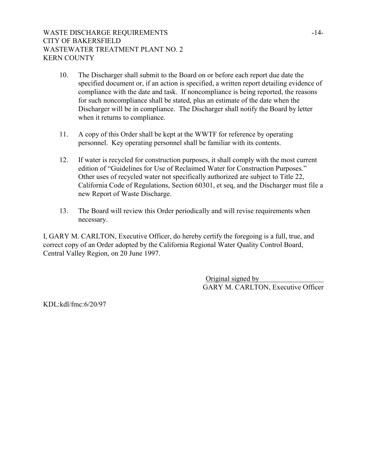- 10. The Discharger shall submit to the Board on or before each report due date the specified document or, if an action is specified, a written report detailing evidence of compliance with the date and task. If noncompliance is being reported, the reasons for such noncompliance shall be stated, plus an estimate of the date when the Discharger will be in compliance. The Discharger shall notify the Board by letter when it returns to compliance.
- 11. A copy of this Order shall be kept at the WWTF for reference by operating personnel. Key operating personnel shall be familiar with its contents.
- 12. If water is recycled for construction purposes, it shall comply with the most current edition of "Guidelines for Use of Reclaimed Water for Construction Purposes." Other uses of recycled water not specifically authorized are subject to Title 22, California Code of Regulations, Section 60301, et seq, and the Discharger must file a new Report of Waste Discharge.
- 13. The Board will review this Order periodically and will revise requirements when necessary.

I, GARY M. CARLTON, Executive Officer, do hereby certify the foregoing is a full, true, and correct copy of an Order adopted by the California Regional Water Quality Control Board, Central Valley Region, on 20 June 1997.

> Original signed by GARY M. CARLTON, Executive Officer

KDL:kdl/fmc:6/20/97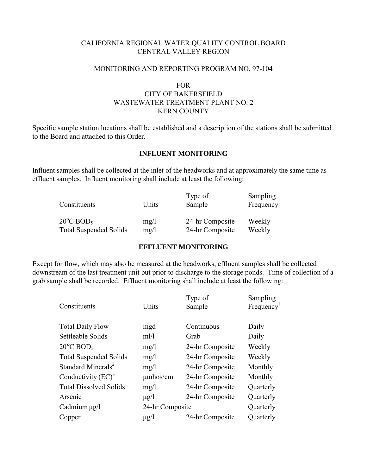## CALIFORNIA REGIONAL WATER QUALITY CONTROL BOARD CENTRAL VALLEY REGION

#### MONITORING AND REPORTING PROGRAM NO. 97-104

## FOR CITY OF BAKERSFIELD WASTEWATER TREATMENT PLANT NO. 2 KERN COUNTY

Specific sample station locations shall be established and a description of the stations shall be submitted to the Board and attached to this Order.

# **INFLUENT MONITORING**

Influent samples shall be collected at the inlet of the headworks and at approximately the same time as effluent samples. Influent monitoring shall include at least the following:

| Constituents                    | Units | Type of<br>Sample | Sampling<br>Frequency |
|---------------------------------|-------|-------------------|-----------------------|
| $20^{\circ}$ C BOD <sub>5</sub> | mg/l  | 24-hr Composite   | Weekly                |
| <b>Total Suspended Solids</b>   | mg/1  | 24-hr Composite   | Weekly                |

# **EFFLUENT MONITORING**

Except for flow, which may also be measured at the headworks, effluent samples shall be collected downstream of the last treatment unit but prior to discharge to the storage ponds. Time of collection of a grab sample shall be recorded. Effluent monitoring shall include at least the following:

| Constituents                    | Units           | Type of<br><b>Sample</b> | Sampling<br>Frequency <sup>1</sup> |
|---------------------------------|-----------------|--------------------------|------------------------------------|
| <b>Total Daily Flow</b>         | mgd             | Continuous               | Daily                              |
| Settleable Solids               | m!/l            | Grab                     | Daily                              |
| $20^{\circ}$ C BOD <sub>5</sub> | mg/1            | 24-hr Composite          | Weekly                             |
| <b>Total Suspended Solids</b>   | mg/1            | 24-hr Composite          | Weekly                             |
| Standard Minerals <sup>2</sup>  | mg/1            | 24-hr Composite          | Monthly                            |
| Conductivity $(EC)^3$           | $\mu$ mhos/cm   | 24-hr Composite          | Monthly                            |
| <b>Total Dissolved Solids</b>   | mg/1            | 24-hr Composite          | Quarterly                          |
| Arsenic                         | $\mu$ g/l       | 24-hr Composite          | Quarterly                          |
| Cadmium µg/l                    | 24-hr Composite |                          | Quarterly                          |
| Copper                          | $\mu$ g/l       | 24-hr Composite          | Quarterly                          |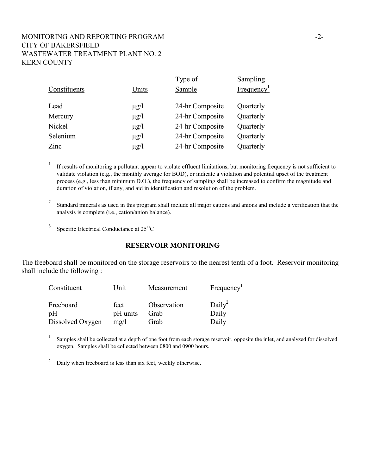# MONITORING AND REPORTING PROGRAM  $-2$ -CITY OF BAKERSFIELD WASTEWATER TREATMENT PLANT NO. 2 KERN COUNTY

| Constituents | Units     | Type of<br>Sample | Sampling<br>Frequency <sup>1</sup> |
|--------------|-----------|-------------------|------------------------------------|
| Lead         | $\mu$ g/l | 24-hr Composite   | Quarterly                          |
| Mercury      | $\mu$ g/l | 24-hr Composite   | Quarterly                          |
| Nickel       | $\mu$ g/l | 24-hr Composite   | Quarterly                          |
| Selenium     | $\mu$ g/l | 24-hr Composite   | Quarterly                          |
| Zinc         | $\mu$ g/l | 24-hr Composite   | Quarterly                          |

 $1$  If results of monitoring a pollutant appear to violate effluent limitations, but monitoring frequency is not sufficient to validate violation (e.g., the monthly average for BOD), or indicate a violation and potential upset of the treatment process (e.g., less than minimum D.O.), the frequency of sampling shall be increased to confirm the magnitude and duration of violation, if any, and aid in identification and resolution of the problem.

<sup>2</sup> Standard minerals as used in this program shall include all major cations and anions and include a verification that the analysis is complete (i.e., cation/anion balance).

 $3$  Specific Electrical Conductance at  $25^{\circ}$ C

#### **RESERVOIR MONITORING**

The freeboard shall be monitored on the storage reservoirs to the nearest tenth of a foot. Reservoir monitoring shall include the following :

| Constituent      | Unit     | Measurement | Frequency <sup>1</sup> |
|------------------|----------|-------------|------------------------|
| Freeboard        | feet     | Observation | Daily <sup>2</sup>     |
| pH               | pH units | Grab        | Daily                  |
| Dissolved Oxygen | mg/l     | Grab        | Daily                  |

<sup>1</sup> Samples shall be collected at a depth of one foot from each storage reservoir, opposite the inlet, and analyzed for dissolved oxygen. Samples shall be collected between 0800 and 0900 hours.

2 Daily when freeboard is less than six feet, weekly otherwise.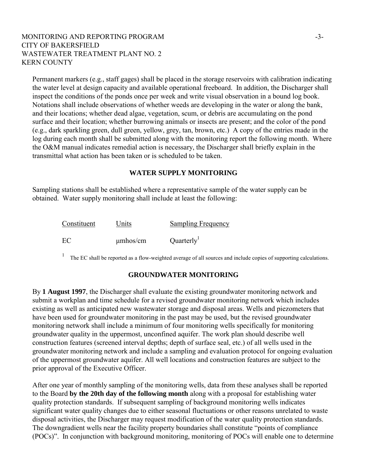### MONITORING AND REPORTING PROGRAM  $-3-$ CITY OF BAKERSFIELD WASTEWATER TREATMENT PLANT NO 2 KERN COUNTY

Permanent markers (e.g., staff gages) shall be placed in the storage reservoirs with calibration indicating the water level at design capacity and available operational freeboard. In addition, the Discharger shall inspect the conditions of the ponds once per week and write visual observation in a bound log book. Notations shall include observations of whether weeds are developing in the water or along the bank, and their locations; whether dead algae, vegetation, scum, or debris are accumulating on the pond surface and their location; whether burrowing animals or insects are present; and the color of the pond (e.g., dark sparkling green, dull green, yellow, grey, tan, brown, etc.) A copy of the entries made in the log during each month shall be submitted along with the monitoring report the following month. Where the O&M manual indicates remedial action is necessary, the Discharger shall briefly explain in the transmittal what action has been taken or is scheduled to be taken.

#### **WATER SUPPLY MONITORING**

Sampling stations shall be established where a representative sample of the water supply can be obtained. Water supply monitoring shall include at least the following:

| Constituent | Units         | <b>Sampling Frequency</b> |
|-------------|---------------|---------------------------|
| EC          | $\mu$ mhos/cm | Quarterly                 |

<sup>1</sup> The EC shall be reported as a flow-weighted average of all sources and include copies of supporting calculations.

#### **GROUNDWATER MONITORING**

By **1 August 1997**, the Discharger shall evaluate the existing groundwater monitoring network and submit a workplan and time schedule for a revised groundwater monitoring network which includes existing as well as anticipated new wastewater storage and disposal areas. Wells and piezometers that have been used for groundwater monitoring in the past may be used, but the revised groundwater monitoring network shall include a minimum of four monitoring wells specifically for monitoring groundwater quality in the uppermost, unconfined aquifer. The work plan should describe well construction features (screened interval depths; depth of surface seal, etc.) of all wells used in the groundwater monitoring network and include a sampling and evaluation protocol for ongoing evaluation of the uppermost groundwater aquifer. All well locations and construction features are subject to the prior approval of the Executive Officer.

After one year of monthly sampling of the monitoring wells, data from these analyses shall be reported to the Board **by the 20th day of the following month** along with a proposal for establishing water quality protection standards. If subsequent sampling of background monitoring wells indicates significant water quality changes due to either seasonal fluctuations or other reasons unrelated to waste disposal activities, the Discharger may request modification of the water quality protection standards. The downgradient wells near the facility property boundaries shall constitute "points of compliance (POCs)". In conjunction with background monitoring, monitoring of POCs will enable one to determine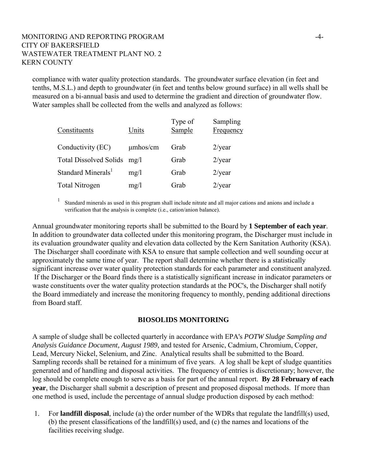#### MONITORING AND REPORTING PROGRAM  $-4-$ CITY OF BAKERSFIELD WASTEWATER TREATMENT PLANT NO. 2 KERN COUNTY

compliance with water quality protection standards. The groundwater surface elevation (in feet and tenths, M.S.L.) and depth to groundwater (in feet and tenths below ground surface) in all wells shall be measured on a bi-annual basis and used to determine the gradient and direction of groundwater flow. Water samples shall be collected from the wells and analyzed as follows:

| Constituents                   | Units         | Type of<br>Sample | Sampling<br>Frequency |
|--------------------------------|---------------|-------------------|-----------------------|
| Conductivity (EC)              | $\mu$ mhos/cm | Grab              | $2$ /year             |
| <b>Total Dissolved Solids</b>  | mg/l          | Grab              | $2$ /year             |
| Standard Minerals <sup>1</sup> | mg/1          | Grab              | $2$ /year             |
| <b>Total Nitrogen</b>          | mg/l          | Grab              | $2$ /year             |

<sup>1</sup> Standard minerals as used in this program shall include nitrate and all major cations and anions and include a verification that the analysis is complete (i.e., cation/anion balance).

Annual groundwater monitoring reports shall be submitted to the Board by **1 September of each year**. In addition to groundwater data collected under this monitoring program, the Discharger must include in its evaluation groundwater quality and elevation data collected by the Kern Sanitation Authority (KSA). The Discharger shall coordinate with KSA to ensure that sample collection and well sounding occur at approximately the same time of year. The report shall determine whether there is a statistically significant increase over water quality protection standards for each parameter and constituent analyzed. If the Discharger or the Board finds there is a statistically significant increase in indicator parameters or waste constituents over the water quality protection standards at the POC's, the Discharger shall notify the Board immediately and increase the monitoring frequency to monthly, pending additional directions from Board staff.

#### **BIOSOLIDS MONITORING**

A sample of sludge shall be collected quarterly in accordance with EPA's *POTW Sludge Sampling and Analysis Guidance Document, August 1989*, and tested for Arsenic, Cadmium, Chromium, Copper, Lead, Mercury Nickel, Selenium, and Zinc. Analytical results shall be submitted to the Board. Sampling records shall be retained for a minimum of five years. A log shall be kept of sludge quantities generated and of handling and disposal activities. The frequency of entries is discretionary; however, the log should be complete enough to serve as a basis for part of the annual report. **By 28 February of each year**, the Discharger shall submit a description of present and proposed disposal methods. If more than one method is used, include the percentage of annual sludge production disposed by each method:

 1. For **landfill disposal**, include (a) the order number of the WDRs that regulate the landfill(s) used, (b) the present classifications of the landfill(s) used, and (c) the names and locations of the facilities receiving sludge.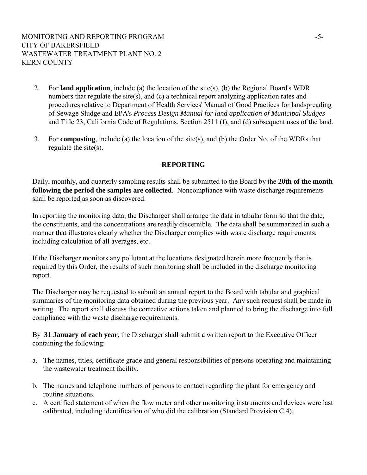- 2. For **land application**, include (a) the location of the site(s), (b) the Regional Board's WDR numbers that regulate the site(s), and (c) a technical report analyzing application rates and procedures relative to Department of Health Services' Manual of Good Practices for landspreading of Sewage Sludge and EPA's *Process Design Manual for land application of Municipal Sludges* and Title 23, California Code of Regulations, Section 2511 (f), and (d) subsequent uses of the land.
- 3. For **composting**, include (a) the location of the site(s), and (b) the Order No. of the WDRs that regulate the site(s).

#### **REPORTING**

Daily, monthly, and quarterly sampling results shall be submitted to the Board by the **20th of the month following the period the samples are collected**. Noncompliance with waste discharge requirements shall be reported as soon as discovered.

In reporting the monitoring data, the Discharger shall arrange the data in tabular form so that the date, the constituents, and the concentrations are readily discernible. The data shall be summarized in such a manner that illustrates clearly whether the Discharger complies with waste discharge requirements, including calculation of all averages, etc.

If the Discharger monitors any pollutant at the locations designated herein more frequently that is required by this Order, the results of such monitoring shall be included in the discharge monitoring report.

The Discharger may be requested to submit an annual report to the Board with tabular and graphical summaries of the monitoring data obtained during the previous year. Any such request shall be made in writing. The report shall discuss the corrective actions taken and planned to bring the discharge into full compliance with the waste discharge requirements.

By **31 January of each year**, the Discharger shall submit a written report to the Executive Officer containing the following:

- a. The names, titles, certificate grade and general responsibilities of persons operating and maintaining the wastewater treatment facility.
- b. The names and telephone numbers of persons to contact regarding the plant for emergency and routine situations.
- c. A certified statement of when the flow meter and other monitoring instruments and devices were last calibrated, including identification of who did the calibration (Standard Provision C.4).